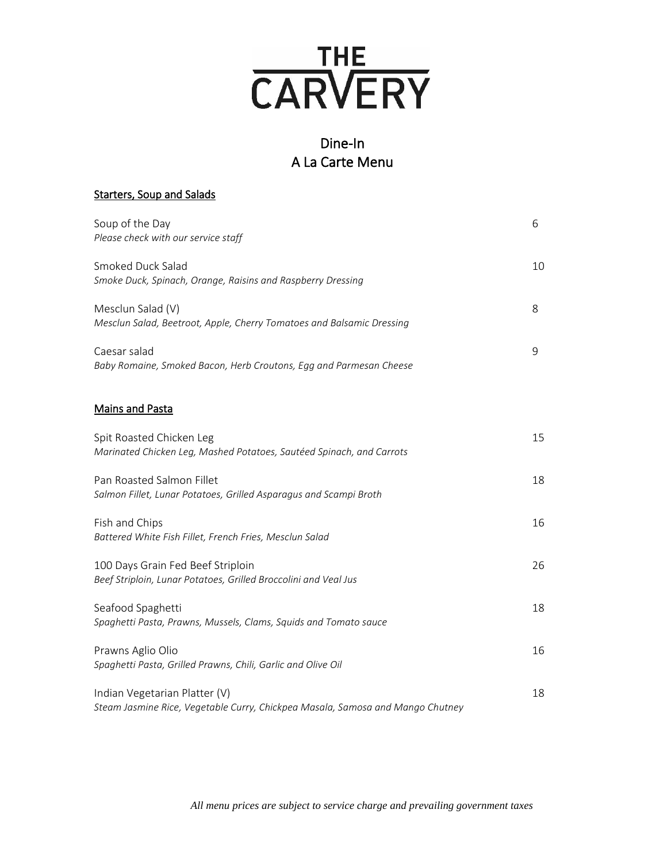

# Dine-In A La Carte Menu

| <b>Starters, Soup and Salads</b> |
|----------------------------------|
|----------------------------------|

| Soup of the Day<br>Please check with our service staff                                                          | 6  |
|-----------------------------------------------------------------------------------------------------------------|----|
| Smoked Duck Salad<br>Smoke Duck, Spinach, Orange, Raisins and Raspberry Dressing                                | 10 |
| Mesclun Salad (V)<br>Mesclun Salad, Beetroot, Apple, Cherry Tomatoes and Balsamic Dressing                      | 8  |
| Caesar salad<br>Baby Romaine, Smoked Bacon, Herb Croutons, Egg and Parmesan Cheese                              | 9  |
| <b>Mains and Pasta</b>                                                                                          |    |
| Spit Roasted Chicken Leg<br>Marinated Chicken Leg, Mashed Potatoes, Sautéed Spinach, and Carrots                | 15 |
| Pan Roasted Salmon Fillet<br>Salmon Fillet, Lunar Potatoes, Grilled Asparagus and Scampi Broth                  | 18 |
| Fish and Chips<br>Battered White Fish Fillet, French Fries, Mesclun Salad                                       | 16 |
| 100 Days Grain Fed Beef Striploin<br>Beef Striploin, Lunar Potatoes, Grilled Broccolini and Veal Jus            | 26 |
| Seafood Spaghetti<br>Spaghetti Pasta, Prawns, Mussels, Clams, Squids and Tomato sauce                           | 18 |
| Prawns Aglio Olio<br>Spaghetti Pasta, Grilled Prawns, Chili, Garlic and Olive Oil                               | 16 |
| Indian Vegetarian Platter (V)<br>Steam Jasmine Rice, Vegetable Curry, Chickpea Masala, Samosa and Mango Chutney | 18 |

*All menu prices are subject to service charge and prevailing government taxes*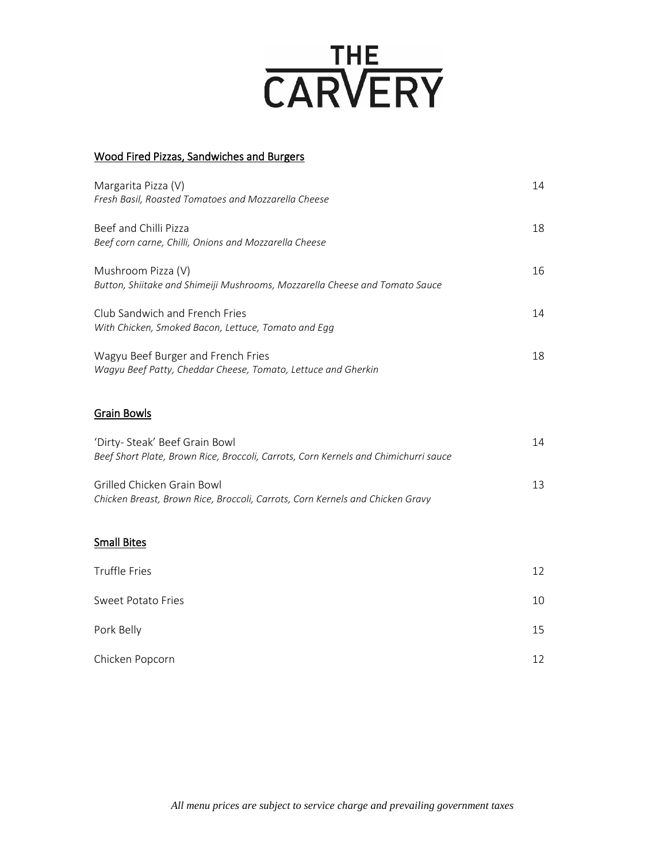# **CARVERY**

### Wood Fired Pizzas, Sandwiches and Burgers

| Margarita Pizza (V)<br>Fresh Basil, Roasted Tomatoes and Mozzarella Cheese                          | 14 |
|-----------------------------------------------------------------------------------------------------|----|
| Beef and Chilli Pizza<br>Beef corn carne, Chilli, Onions and Mozzarella Cheese                      | 18 |
| Mushroom Pizza (V)<br>Button, Shiitake and Shimeiji Mushrooms, Mozzarella Cheese and Tomato Sauce   | 16 |
| Club Sandwich and French Fries<br>With Chicken, Smoked Bacon, Lettuce, Tomato and Egg               | 14 |
| Wagyu Beef Burger and French Fries<br>Wagyu Beef Patty, Cheddar Cheese, Tomato, Lettuce and Gherkin | 18 |

### Grain Bowls

| 'Dirty- Steak' Beef Grain Bowl<br>Beef Short Plate, Brown Rice, Broccoli, Carrots, Corn Kernels and Chimichurri sauce | 14 |
|-----------------------------------------------------------------------------------------------------------------------|----|
| Grilled Chicken Grain Bowl<br>Chicken Breast, Brown Rice, Broccoli, Carrots, Corn Kernels and Chicken Gravy           |    |

## Small Bites

| Truffle Fries             | 12 |
|---------------------------|----|
| <b>Sweet Potato Fries</b> | 10 |
| Pork Belly                | 15 |
| Chicken Popcorn           | 12 |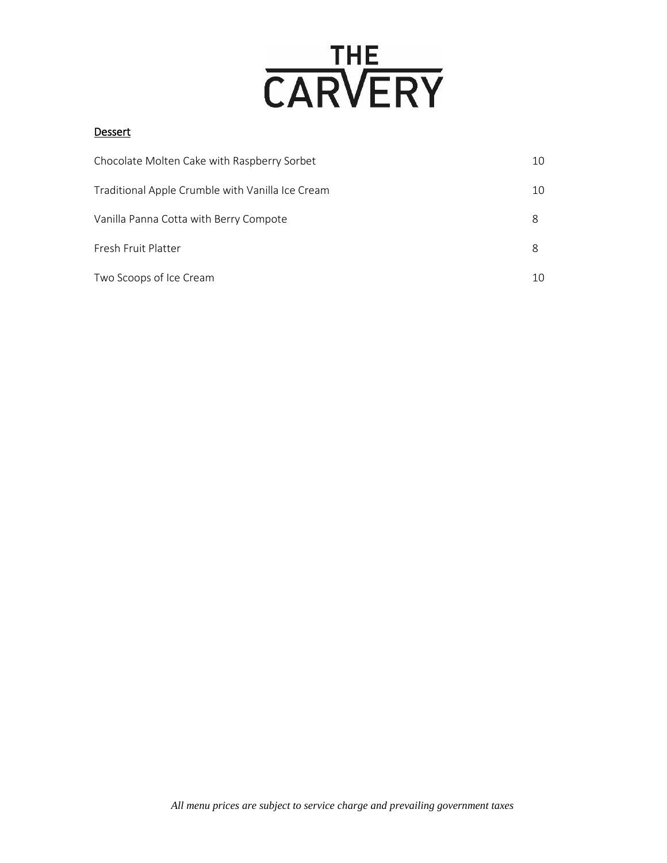

### **Dessert**

| Chocolate Molten Cake with Raspberry Sorbet      | 10 |
|--------------------------------------------------|----|
| Traditional Apple Crumble with Vanilla Ice Cream | 10 |
| Vanilla Panna Cotta with Berry Compote           | 8  |
| Fresh Fruit Platter                              | 8  |
| Two Scoops of Ice Cream                          | 10 |